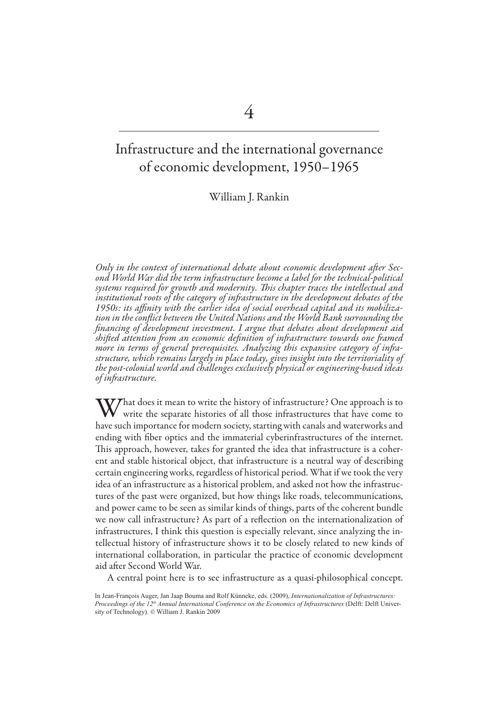# Infrastructure and the international governance of economic development, 1950–1965

William J. Rankin

*Only in the context of international debate about economic development after Second World War did the term infrastructure become a label for the technical-political systems required for growth and modernity. This chapter traces the intellectual and institutional roots of the category of infrastructure in the development debates of the 1950s: its affinity with the earlier idea of social overhead capital and its mobilization in the conflict between the United Nations and the World Bank surrounding the financing of development investment. I argue that debates about development aid shifted attention from an economic definition of infrastructure towards one framed more in terms of general prerequisites. Analyzing this expansive category of infrastructure, which remains largely in place today, gives insight into the territoriality of the post-colonial world and challenges exclusively physical or engineering-based ideas of infrastructure.* 

 $V$ That does it mean to write the history of infrastructure? One approach is to write the separate histories of all those infrastructures that have come to have such importance for modern society, starting with canals and waterworks and ending with fiber optics and the immaterial cyberinfrastructures of the internet. This approach, however, takes for granted the idea that infrastructure is a coherent and stable historical object, that infrastructure is a neutral way of describing certain engineering works, regardless of historical period. What if we took the very idea of an infrastructure as a historical problem, and asked not how the infrastructures of the past were organized, but how things like roads, telecommunications, and power came to be seen as similar kinds of things, parts of the coherent bundle we now call infrastructure? As part of a reflection on the internationalization of infrastructures, I think this question is especially relevant, since analyzing the intellectual history of infrastructure shows it to be closely related to new kinds of international collaboration, in particular the practice of economic development aid after Second World War.

A central point here is to see infrastructure as a quasi-philosophical concept.

In Jean-François Auger, Jan Jaap Bouma and Rolf Künneke, eds. (2009), *Internationalization of Infrastructures: Proceedings of the 12th Annual International Conference on the Economics of Infrastructures* (Delft: Delft University of Technology). © William J. Rankin 2009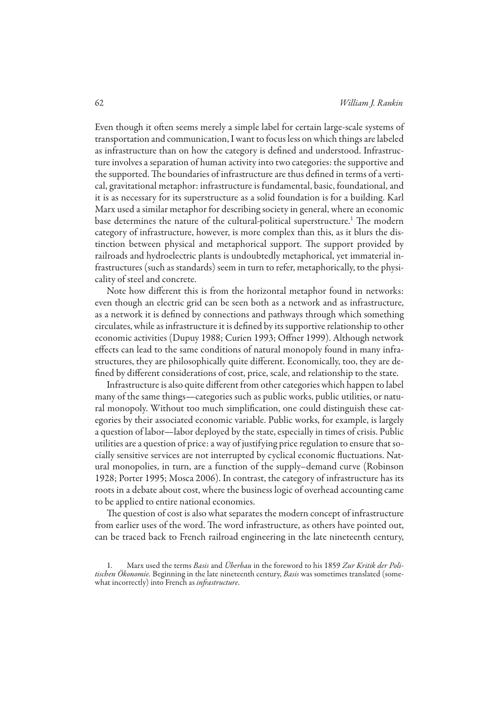Even though it often seems merely a simple label for certain large-scale systems of transportation and communication, I want to focus less on which things are labeled as infrastructure than on how the category is defined and understood. Infrastructure involves a separation of human activity into two categories: the supportive and the supported. The boundaries of infrastructure are thus defined in terms of a vertical, gravitational metaphor: infrastructure is fundamental, basic, foundational, and it is as necessary for its superstructure as a solid foundation is for a building. Karl Marx used a similar metaphor for describing society in general, where an economic base determines the nature of the cultural-political superstructure.1 The modern category of infrastructure, however, is more complex than this, as it blurs the distinction between physical and metaphorical support. The support provided by railroads and hydroelectric plants is undoubtedly metaphorical, yet immaterial infrastructures (such as standards) seem in turn to refer, metaphorically, to the physicality of steel and concrete.

Note how different this is from the horizontal metaphor found in networks: even though an electric grid can be seen both as a network and as infrastructure, as a network it is defined by connections and pathways through which something circulates, while as infrastructure it is defined by its supportive relationship to other economic activities (Dupuy 1988; Curien 1993; Offner 1999). Although network effects can lead to the same conditions of natural monopoly found in many infrastructures, they are philosophically quite different. Economically, too, they are defined by different considerations of cost, price, scale, and relationship to the state.

Infrastructure is also quite different from other categories which happen to label many of the same things—categories such as public works, public utilities, or natural monopoly. Without too much simplification, one could distinguish these categories by their associated economic variable. Public works, for example, is largely a question of labor—labor deployed by the state, especially in times of crisis. Public utilities are a question of price: a way of justifying price regulation to ensure that socially sensitive services are not interrupted by cyclical economic fluctuations. Natural monopolies, in turn, are a function of the supply–demand curve (Robinson 1928; Porter 1995; Mosca 2006). In contrast, the category of infrastructure has its roots in a debate about cost, where the business logic of overhead accounting came to be applied to entire national economies.

The question of cost is also what separates the modern concept of infrastructure from earlier uses of the word. The word infrastructure, as others have pointed out, can be traced back to French railroad engineering in the late nineteenth century,

<sup>1.</sup> Marx used the terms *Basis* and *Überbau* in the foreword to his 1859 Zur Kritik der Politischen Ökonomie. Beginning in the late nineteenth century, *Basis* was sometimes translated (somewhat incorrectly) into French as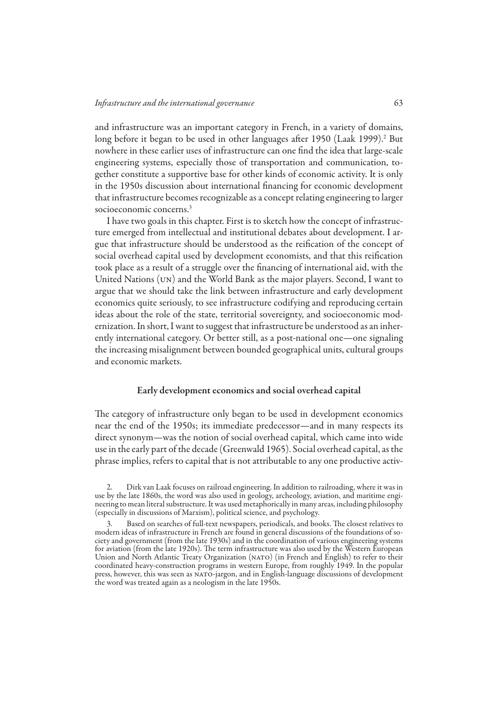and infrastructure was an important category in French, in a variety of domains, long before it began to be used in other languages after 1950 (Laak 1999).<sup>2</sup> But nowhere in these earlier uses of infrastructure can one find the idea that large-scale engineering systems, especially those of transportation and communication, together constitute a supportive base for other kinds of economic activity. It is only in the 1950s discussion about international financing for economic development that infrastructure becomes recognizable as a concept relating engineering to larger socioeconomic concerns.3

I have two goals in this chapter. First is to sketch how the concept of infrastructure emerged from intellectual and institutional debates about development. I argue that infrastructure should be understood as the reification of the concept of social overhead capital used by development economists, and that this reification took place as a result of a struggle over the financing of international aid, with the United Nations (un) and the World Bank as the major players. Second, I want to argue that we should take the link between infrastructure and early development economics quite seriously, to see infrastructure codifying and reproducing certain ideas about the role of the state, territorial sovereignty, and socioeconomic modernization. In short, I want to suggest that infrastructure be understood as an inherently international category. Or better still, as a post-national one—one signaling the increasing misalignment between bounded geographical units, cultural groups and economic markets.

## Early development economics and social overhead capital

The category of infrastructure only began to be used in development economics near the end of the 1950s; its immediate predecessor—and in many respects its direct synonym—was the notion of social overhead capital, which came into wide use in the early part of the decade (Greenwald 1965). Social overhead capital, as the phrase implies, refers to capital that is not attributable to any one productive activ-

<sup>2.</sup> Dirk van Laak focuses on railroad engineering. In addition to railroading, where it was in use by the late 1860s, the word was also used in geology, archeology, aviation, and maritime engineering to mean literal substructure. It was used metaphorically in many areas, including philosophy (especially in discussions of Marxism), political science, and psychology.

<sup>3.</sup> Based on searches of full-text newspapers, periodicals, and books. The closest relatives to modern ideas of infrastructure in French are found in general discussions of the foundations of society and government (from the late 1930s) and in the coordination of various engineering systems for aviation (from the late 1920s). The term infrastructure was also used by the Western European Union and North Atlantic Treaty Organization (NATO) (in French and English) to refer to their coordinated heavy-construction programs in western Europe, from roughly 1949. In the popular press, however, this was seen as NATO-jargon, and in English-language discussions of development the word was treated again as a neologism in the late 1950s.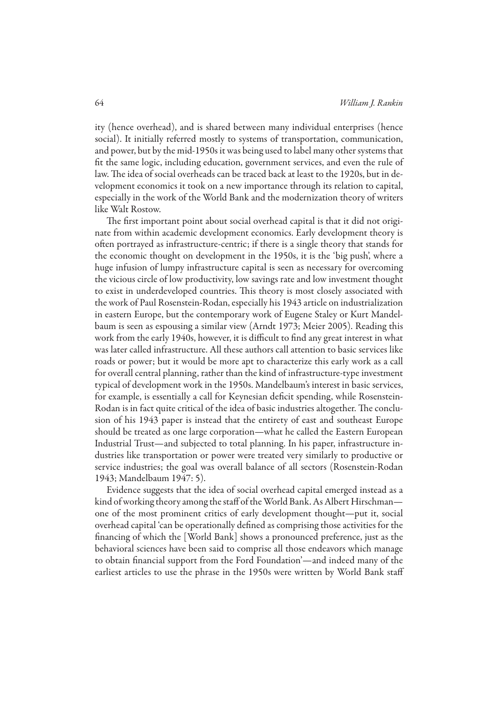ity (hence overhead), and is shared between many individual enterprises (hence social). It initially referred mostly to systems of transportation, communication, and power, but by the mid-1950s it was being used to label many other systems that fit the same logic, including education, government services, and even the rule of law. The idea of social overheads can be traced back at least to the 1920s, but in development economics it took on a new importance through its relation to capital, especially in the work of the World Bank and the modernization theory of writers like Walt Rostow.

The first important point about social overhead capital is that it did not originate from within academic development economics. Early development theory is often portrayed as infrastructure-centric; if there is a single theory that stands for the economic thought on development in the 1950s, it is the 'big push', where a huge infusion of lumpy infrastructure capital is seen as necessary for overcoming the vicious circle of low productivity, low savings rate and low investment thought to exist in underdeveloped countries. This theory is most closely associated with the work of Paul Rosenstein-Rodan, especially his 1943 article on industrialization in eastern Europe, but the contemporary work of Eugene Staley or Kurt Mandelbaum is seen as espousing a similar view (Arndt 1973; Meier 2005). Reading this work from the early 1940s, however, it is difficult to find any great interest in what was later called infrastructure. All these authors call attention to basic services like roads or power; but it would be more apt to characterize this early work as a call for overall central planning, rather than the kind of infrastructure-type investment typical of development work in the 1950s. Mandelbaum's interest in basic services, for example, is essentially a call for Keynesian deficit spending, while Rosenstein-Rodan is in fact quite critical of the idea of basic industries altogether. The conclusion of his 1943 paper is instead that the entirety of east and southeast Europe should be treated as one large corporation—what he called the Eastern European Industrial Trust—and subjected to total planning. In his paper, infrastructure industries like transportation or power were treated very similarly to productive or service industries; the goal was overall balance of all sectors (Rosenstein-Rodan 1943; Mandelbaum 1947: 5).

Evidence suggests that the idea of social overhead capital emerged instead as a kind of working theory among the staff of the World Bank. As Albert Hirschman one of the most prominent critics of early development thought—put it, social overhead capital 'can be operationally defined as comprising those activities for the financing of which the [World Bank] shows a pronounced preference, just as the behavioral sciences have been said to comprise all those endeavors which manage to obtain financial support from the Ford Foundation'—and indeed many of the earliest articles to use the phrase in the 1950s were written by World Bank staff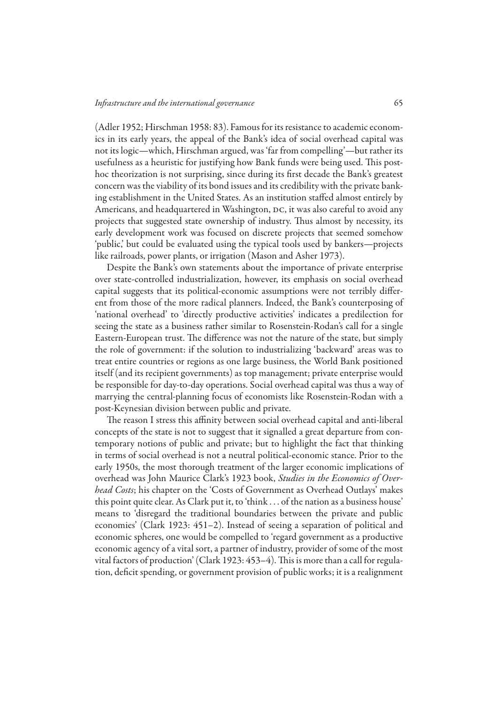(Adler 1952; Hirschman 1958: 83). Famous for its resistance to academic economics in its early years, the appeal of the Bank's idea of social overhead capital was not its logic—which, Hirschman argued, was 'far from compelling'—but rather its usefulness as a heuristic for justifying how Bank funds were being used. This posthoc theorization is not surprising, since during its first decade the Bank's greatest concern was the viability of its bond issues and its credibility with the private banking establishment in the United States. As an institution staffed almost entirely by Americans, and headquartered in Washington, DC, it was also careful to avoid any projects that suggested state ownership of industry. Thus almost by necessity, its early development work was focused on discrete projects that seemed somehow 'public,' but could be evaluated using the typical tools used by bankers—projects like railroads, power plants, or irrigation (Mason and Asher 1973).

Despite the Bank's own statements about the importance of private enterprise over state-controlled industrialization, however, its emphasis on social overhead capital suggests that its political-economic assumptions were not terribly different from those of the more radical planners. Indeed, the Bank's counterposing of 'national overhead' to 'directly productive activities' indicates a predilection for seeing the state as a business rather similar to Rosenstein-Rodan's call for a single Eastern-European trust. The difference was not the nature of the state, but simply the role of government: if the solution to industrializing 'backward' areas was to treat entire countries or regions as one large business, the World Bank positioned itself (and its recipient governments) as top management; private enterprise would be responsible for day-to-day operations. Social overhead capital was thus a way of marrying the central-planning focus of economists like Rosenstein-Rodan with a post-Keynesian division between public and private.

The reason I stress this affinity between social overhead capital and anti-liberal concepts of the state is not to suggest that it signalled a great departure from contemporary notions of public and private; but to highlight the fact that thinking in terms of social overhead is not a neutral political-economic stance. Prior to the early 1950s, the most thorough treatment of the larger economic implications of overhead was John Maurice Clark's 1923 book, *Studies in the Economics of Overhead Costs*; his chapter on the 'Costs of Government as Overhead Outlays' makes this point quite clear. As Clark put it, to 'think . . . of the nation as a business house' means to 'disregard the traditional boundaries between the private and public economies' (Clark 1923: 451–2). Instead of seeing a separation of political and economic spheres, one would be compelled to 'regard government as a productive economic agency of a vital sort, a partner of industry, provider of some of the most vital factors of production' (Clark 1923: 453–4). This is more than a call for regulation, deficit spending, or government provision of public works; it is a realignment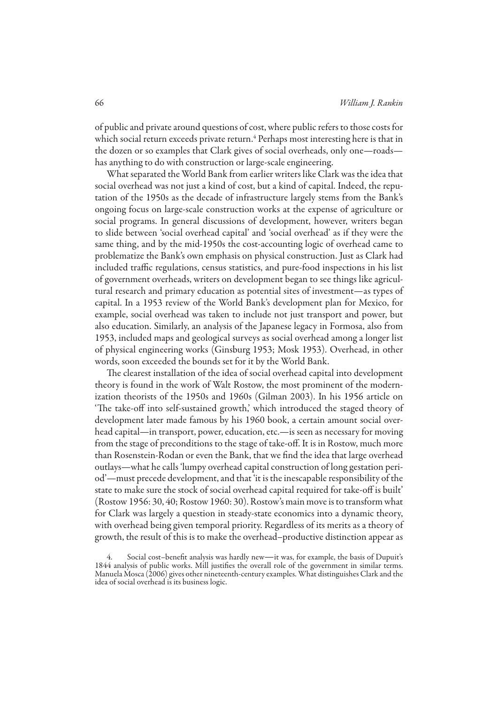of public and private around questions of cost, where public refers to those costs for which social return exceeds private return.<sup>4</sup> Perhaps most interesting here is that in the dozen or so examples that Clark gives of social overheads, only one—roads has anything to do with construction or large-scale engineering.

What separated the World Bank from earlier writers like Clark was the idea that social overhead was not just a kind of cost, but a kind of capital. Indeed, the reputation of the 1950s as the decade of infrastructure largely stems from the Bank's ongoing focus on large-scale construction works at the expense of agriculture or social programs. In general discussions of development, however, writers began to slide between 'social overhead capital' and 'social overhead' as if they were the same thing, and by the mid-1950s the cost-accounting logic of overhead came to problematize the Bank's own emphasis on physical construction. Just as Clark had included traffic regulations, census statistics, and pure-food inspections in his list of government overheads, writers on development began to see things like agricultural research and primary education as potential sites of investment—as types of capital. In a 1953 review of the World Bank's development plan for Mexico, for example, social overhead was taken to include not just transport and power, but also education. Similarly, an analysis of the Japanese legacy in Formosa, also from 1953, included maps and geological surveys as social overhead among a longer list of physical engineering works (Ginsburg 1953; Mosk 1953). Overhead, in other words, soon exceeded the bounds set for it by the World Bank.

The clearest installation of the idea of social overhead capital into development theory is found in the work of Walt Rostow, the most prominent of the modernization theorists of the 1950s and 1960s (Gilman 2003). In his 1956 article on 'The take-off into self-sustained growth,' which introduced the staged theory of development later made famous by his 1960 book, a certain amount social overhead capital—in transport, power, education, etc.—is seen as necessary for moving from the stage of preconditions to the stage of take-off. It is in Rostow, much more than Rosenstein-Rodan or even the Bank, that we find the idea that large overhead outlays—what he calls 'lumpy overhead capital construction of long gestation period'—must precede development, and that 'it is the inescapable responsibility of the state to make sure the stock of social overhead capital required for take-off is built' (Rostow 1956: 30, 40; Rostow 1960: 30). Rostow's main move is to transform what for Clark was largely a question in steady-state economics into a dynamic theory, with overhead being given temporal priority. Regardless of its merits as a theory of growth, the result of this is to make the overhead–productive distinction appear as

Social cost-benefit analysis was hardly new—it was, for example, the basis of Dupuit's 1844 analysis of public works. Mill justifies the overall role of the government in similar terms. Manuela Mosca (2006) gives other nineteenth-century examples. What distinguishes Clark and the idea of social overhead is its business logic.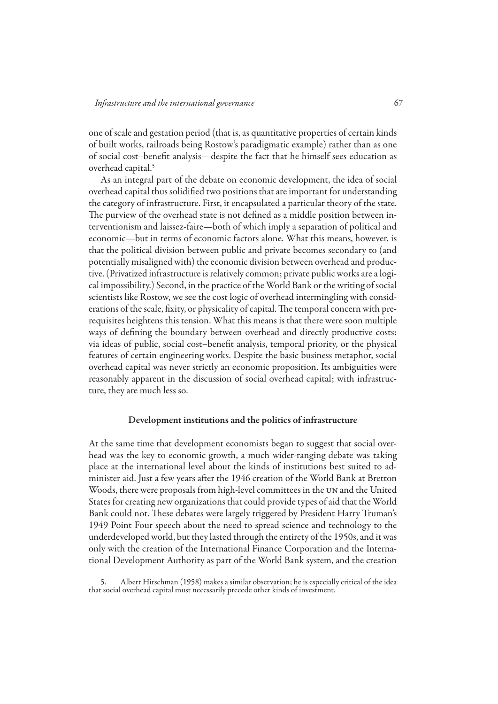one of scale and gestation period (that is, as quantitative properties of certain kinds of built works, railroads being Rostow's paradigmatic example) rather than as one of social cost–benefit analysis—despite the fact that he himself sees education as overhead capital.<sup>5</sup>

As an integral part of the debate on economic development, the idea of social overhead capital thus solidified two positions that are important for understanding the category of infrastructure. First, it encapsulated a particular theory of the state. The purview of the overhead state is not defined as a middle position between interventionism and laissez-faire—both of which imply a separation of political and economic—but in terms of economic factors alone. What this means, however, is that the political division between public and private becomes secondary to (and potentially misaligned with) the economic division between overhead and productive. (Privatized infrastructure is relatively common; private public works are a logical impossibility.) Second, in the practice of the World Bank or the writing of social scientists like Rostow, we see the cost logic of overhead intermingling with considerations of the scale, fixity, or physicality of capital. The temporal concern with prerequisites heightens this tension. What this means is that there were soon multiple ways of defining the boundary between overhead and directly productive costs: via ideas of public, social cost–benefit analysis, temporal priority, or the physical features of certain engineering works. Despite the basic business metaphor, social overhead capital was never strictly an economic proposition. Its ambiguities were reasonably apparent in the discussion of social overhead capital; with infrastructure, they are much less so.

# Development institutions and the politics of infrastructure

At the same time that development economists began to suggest that social overhead was the key to economic growth, a much wider-ranging debate was taking place at the international level about the kinds of institutions best suited to administer aid. Just a few years after the 1946 creation of the World Bank at Bretton Woods, there were proposals from high-level committees in the UN and the United States for creating new organizations that could provide types of aid that the World Bank could not. These debates were largely triggered by President Harry Truman's 1949 Point Four speech about the need to spread science and technology to the underdeveloped world, but they lasted through the entirety of the 1950s, and it was only with the creation of the International Finance Corporation and the International Development Authority as part of the World Bank system, and the creation

5. Albert Hirschman (1958) makes a similar observation; he is especially critical of the idea that social overhead capital must necessarily precede other kinds of investment.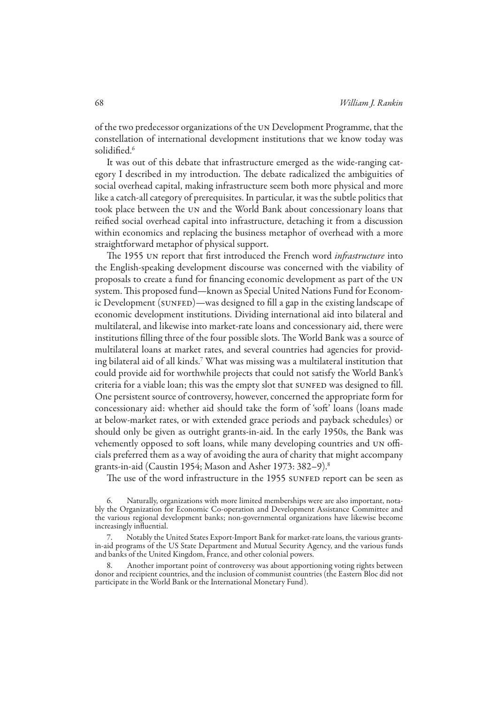of the two predecessor organizations of the un Development Programme, that the constellation of international development institutions that we know today was solidified.<sup>6</sup>

It was out of this debate that infrastructure emerged as the wide-ranging category I described in my introduction. The debate radicalized the ambiguities of social overhead capital, making infrastructure seem both more physical and more like a catch-all category of prerequisites. In particular, it was the subtle politics that took place between the un and the World Bank about concessionary loans that reified social overhead capital into infrastructure, detaching it from a discussion within economics and replacing the business metaphor of overhead with a more straightforward metaphor of physical support.

The 1955 un report that first introduced the French word *infrastructure* into the English-speaking development discourse was concerned with the viability of proposals to create a fund for financing economic development as part of the un system. This proposed fund—known as Special United Nations Fund for Economic Development (SUNFED)—was designed to fill a gap in the existing landscape of economic development institutions. Dividing international aid into bilateral and multilateral, and likewise into market-rate loans and concessionary aid, there were institutions filling three of the four possible slots. The World Bank was a source of multilateral loans at market rates, and several countries had agencies for providing bilateral aid of all kinds.7 What was missing was a multilateral institution that could provide aid for worthwhile projects that could not satisfy the World Bank's criteria for a viable loan; this was the empty slot that SUNFED was designed to fill. One persistent source of controversy, however, concerned the appropriate form for concessionary aid: whether aid should take the form of 'soft' loans (loans made at below-market rates, or with extended grace periods and payback schedules) or should only be given as outright grants-in-aid. In the early 1950s, the Bank was vehemently opposed to soft loans, while many developing countries and un officials preferred them as a way of avoiding the aura of charity that might accompany grants-in-aid (Caustin 1954; Mason and Asher 1973: 382–9).8

The use of the word infrastructure in the 1955 SUNFED report can be seen as

<sup>6.</sup> Naturally, organizations with more limited memberships were are also important, notably the Organization for Economic Co-operation and Development Assistance Committee and the various regional development banks; non-governmental organizations have likewise become increasingly influential.

<sup>7.</sup> Notably the United States Export-Import Bank for market-rate loans, the various grantsin-aid programs of the US State Department and Mutual Security Agency, and the various funds and banks of the United Kingdom, France, and other colonial powers.

<sup>8.</sup> Another important point of controversy was about apportioning voting rights between donor and recipient countries, and the inclusion of communist countries (the Eastern Bloc did not participate in the World Bank or the International Monetary Fund).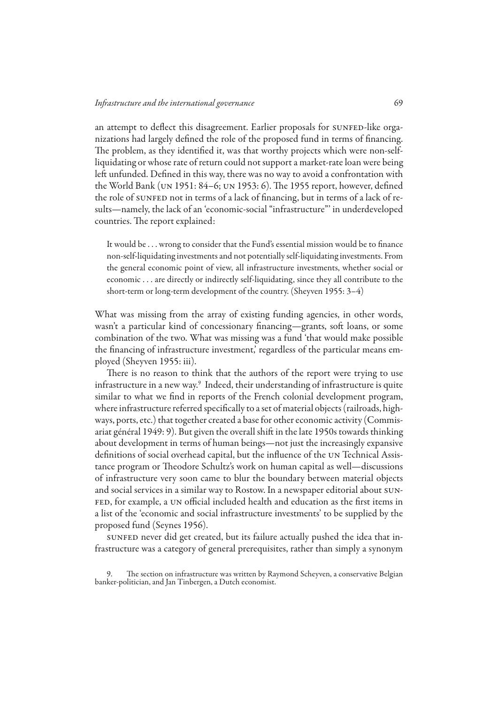an attempt to deflect this disagreement. Earlier proposals for SUNFED-like organizations had largely defined the role of the proposed fund in terms of financing. The problem, as they identified it, was that worthy projects which were non-selfliquidating or whose rate of return could not support a market-rate loan were being left unfunded. Defined in this way, there was no way to avoid a confrontation with the World Bank (un 1951: 84–6; un 1953: 6). The 1955 report, however, defined the role of sunfer not in terms of a lack of financing, but in terms of a lack of results—namely, the lack of an 'economic-social "infrastructure"' in underdeveloped countries. The report explained:

It would be ... wrong to consider that the Fund's essential mission would be to finance non-self-liquidating investments and not potentially self-liquidating investments. From the general economic point of view, all infrastructure investments, whether social or economic . . . are directly or indirectly self-liquidating, since they all contribute to the short-term or long-term development of the country. (Sheyven 1955: 3–4)

What was missing from the array of existing funding agencies, in other words, wasn't a particular kind of concessionary financing—grants, soft loans, or some combination of the two. What was missing was a fund 'that would make possible the financing of infrastructure investment,' regardless of the particular means employed (Sheyven 1955: iii).

There is no reason to think that the authors of the report were trying to use infrastructure in a new way. $^9\,$  Indeed, their understanding of infrastructure is quite similar to what we find in reports of the French colonial development program, where infrastructure referred specifically to a set of material objects (railroads, highways, ports, etc.) that together created a base for other economic activity (Commisariat général 1949: 9). But given the overall shift in the late 1950s towards thinking about development in terms of human beings—not just the increasingly expansive definitions of social overhead capital, but the influence of the un Technical Assistance program or Theodore Schultz's work on human capital as well—discussions of infrastructure very soon came to blur the boundary between material objects and social services in a similar way to Rostow. In a newspaper editorial about sun-FED, for example, a UN official included health and education as the first items in a list of the 'economic and social infrastructure investments' to be supplied by the proposed fund (Seynes 1956).

sunfer never did get created, but its failure actually pushed the idea that infrastructure was a category of general prerequisites, rather than simply a synonym

9. The section on infrastructure was written by Raymond Scheyven, a conservative Belgian banker-politician, and Jan Tinbergen, a Dutch economist.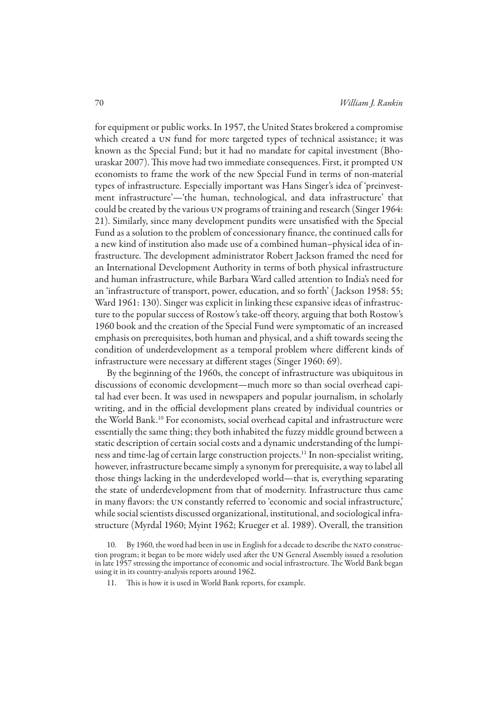for equipment or public works. In 1957, the United States brokered a compromise which created a un fund for more targeted types of technical assistance; it was known as the Special Fund; but it had no mandate for capital investment (Bhouraskar 2007). This move had two immediate consequences. First, it prompted un economists to frame the work of the new Special Fund in terms of non-material types of infrastructure. Especially important was Hans Singer's idea of 'preinvestment infrastructure'—'the human, technological, and data infrastructure' that could be created by the various un programs of training and research (Singer 1964: 21). Similarly, since many development pundits were unsatisfied with the Special Fund as a solution to the problem of concessionary finance, the continued calls for a new kind of institution also made use of a combined human–physical idea of infrastructure. The development administrator Robert Jackson framed the need for an International Development Authority in terms of both physical infrastructure and human infrastructure, while Barbara Ward called attention to India's need for an 'infrastructure of transport, power, education, and so forth' ( Jackson 1958: 55; Ward 1961: 130). Singer was explicit in linking these expansive ideas of infrastructure to the popular success of Rostow's take-off theory, arguing that both Rostow's 1960 book and the creation of the Special Fund were symptomatic of an increased emphasis on prerequisites, both human and physical, and a shift towards seeing the condition of underdevelopment as a temporal problem where different kinds of infrastructure were necessary at different stages (Singer 1960: 69).

By the beginning of the 1960s, the concept of infrastructure was ubiquitous in discussions of economic development—much more so than social overhead capital had ever been. It was used in newspapers and popular journalism, in scholarly writing, and in the official development plans created by individual countries or the World Bank.10 For economists, social overhead capital and infrastructure were essentially the same thing; they both inhabited the fuzzy middle ground between a static description of certain social costs and a dynamic understanding of the lumpiness and time-lag of certain large construction projects.11 In non-specialist writing, however, infrastructure became simply a synonym for prerequisite, a way to label all those things lacking in the underdeveloped world—that is, everything separating the state of underdevelopment from that of modernity. Infrastructure thus came in many flavors: the un constantly referred to 'economic and social infrastructure,' while social scientists discussed organizational, institutional, and sociological infrastructure (Myrdal 1960; Myint 1962; Krueger et al. 1989). Overall, the transition

11. This is how it is used in World Bank reports, for example.

<sup>10.</sup> By 1960, the word had been in use in English for a decade to describe the NATO construction program; it began to be more widely used after the UN General Assembly issued a resolution in late 1957 stressing the importance of economic and social infrastructure. The World Bank began using it in its country-analysis reports around 1962.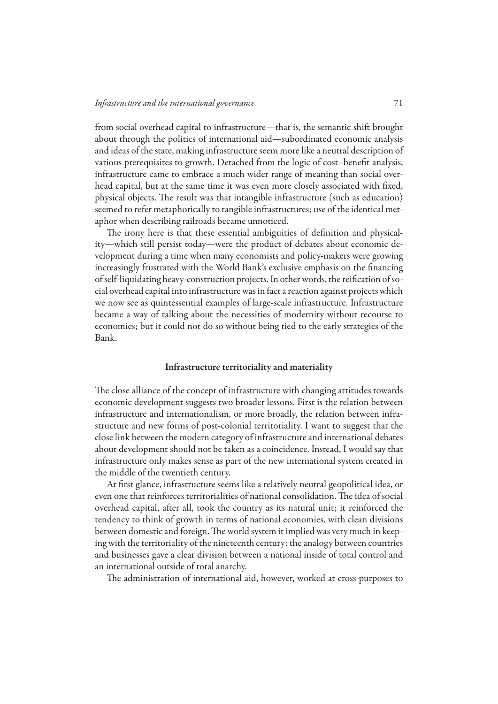from social overhead capital to infrastructure—that is, the semantic shift brought about through the politics of international aid—subordinated economic analysis and ideas of the state, making infrastructure seem more like a neutral description of various prerequisites to growth. Detached from the logic of cost–benefit analysis, infrastructure came to embrace a much wider range of meaning than social overhead capital, but at the same time it was even more closely associated with fixed, physical objects. The result was that intangible infrastructure (such as education) seemed to refer metaphorically to tangible infrastructures; use of the identical metaphor when describing railroads became unnoticed.

The irony here is that these essential ambiguities of definition and physicality—which still persist today—were the product of debates about economic development during a time when many economists and policy-makers were growing increasingly frustrated with the World Bank's exclusive emphasis on the financing of self-liquidating heavy-construction projects. In other words, the reification of social overhead capital into infrastructure was in fact a reaction against projects which we now see as quintessential examples of large-scale infrastructure. Infrastructure became a way of talking about the necessities of modernity without recourse to economics; but it could not do so without being tied to the early strategies of the Bank.

#### Infrastructure territoriality and materiality

The close alliance of the concept of infrastructure with changing attitudes towards economic development suggests two broader lessons. First is the relation between infrastructure and internationalism, or more broadly, the relation between infrastructure and new forms of post-colonial territoriality. I want to suggest that the close link between the modern category of infrastructure and international debates about development should not be taken as a coincidence. Instead, I would say that infrastructure only makes sense as part of the new international system created in the middle of the twentieth century.

At first glance, infrastructure seems like a relatively neutral geopolitical idea, or even one that reinforces territorialities of national consolidation. The idea of social overhead capital, after all, took the country as its natural unit; it reinforced the tendency to think of growth in terms of national economies, with clean divisions between domestic and foreign. The world system it implied was very much in keeping with the territoriality of the nineteenth century: the analogy between countries and businesses gave a clear division between a national inside of total control and an international outside of total anarchy.

The administration of international aid, however, worked at cross-purposes to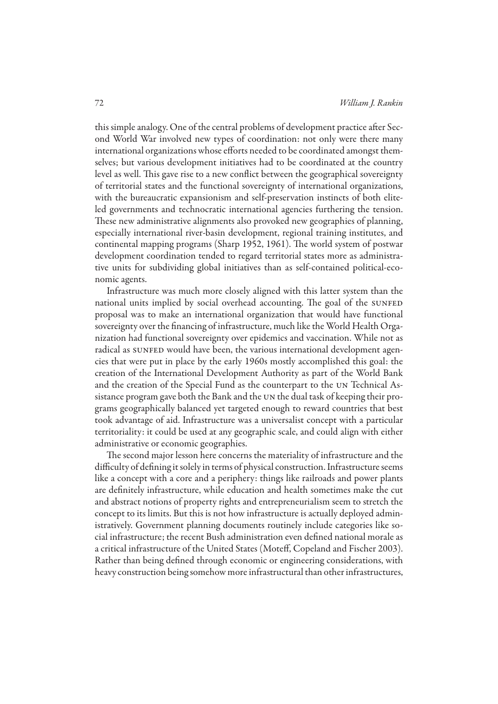this simple analogy. One of the central problems of development practice after Second World War involved new types of coordination: not only were there many international organizations whose efforts needed to be coordinated amongst themselves; but various development initiatives had to be coordinated at the country level as well. This gave rise to a new conflict between the geographical sovereignty of territorial states and the functional sovereignty of international organizations, with the bureaucratic expansionism and self-preservation instincts of both eliteled governments and technocratic international agencies furthering the tension. These new administrative alignments also provoked new geographies of planning, especially international river-basin development, regional training institutes, and continental mapping programs (Sharp 1952, 1961). The world system of postwar development coordination tended to regard territorial states more as administrative units for subdividing global initiatives than as self-contained political-economic agents.

Infrastructure was much more closely aligned with this latter system than the national units implied by social overhead accounting. The goal of the SUNFED proposal was to make an international organization that would have functional sovereignty over the financing of infrastructure, much like the World Health Organization had functional sovereignty over epidemics and vaccination. While not as radical as sunfer would have been, the various international development agencies that were put in place by the early 1960s mostly accomplished this goal: the creation of the International Development Authority as part of the World Bank and the creation of the Special Fund as the counterpart to the un Technical Assistance program gave both the Bank and the un the dual task of keeping their programs geographically balanced yet targeted enough to reward countries that best took advantage of aid. Infrastructure was a universalist concept with a particular territoriality: it could be used at any geographic scale, and could align with either administrative or economic geographies.

The second major lesson here concerns the materiality of infrastructure and the difficulty of defining it solely in terms of physical construction. Infrastructure seems like a concept with a core and a periphery: things like railroads and power plants are definitely infrastructure, while education and health sometimes make the cut and abstract notions of property rights and entrepreneurialism seem to stretch the concept to its limits. But this is not how infrastructure is actually deployed administratively. Government planning documents routinely include categories like social infrastructure; the recent Bush administration even defined national morale as a critical infrastructure of the United States (Moteff, Copeland and Fischer 2003). Rather than being defined through economic or engineering considerations, with heavy construction being somehow more infrastructural than other infrastructures,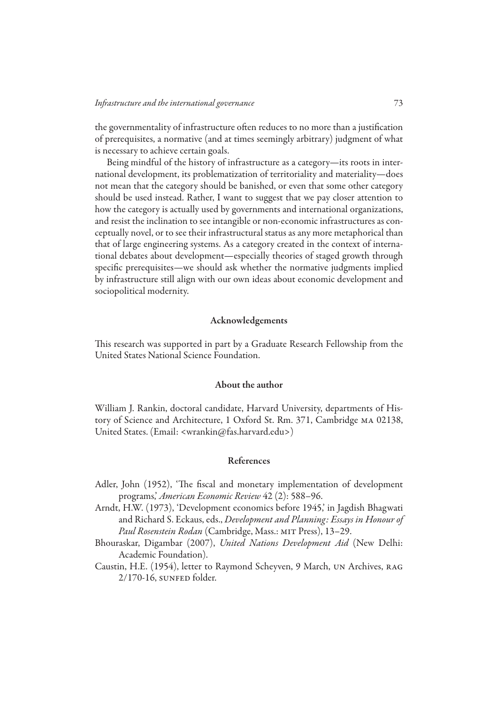the governmentality of infrastructure often reduces to no more than a justification of prerequisites, a normative (and at times seemingly arbitrary) judgment of what is necessary to achieve certain goals.

Being mindful of the history of infrastructure as a category—its roots in international development, its problematization of territoriality and materiality—does not mean that the category should be banished, or even that some other category should be used instead. Rather, I want to suggest that we pay closer attention to how the category is actually used by governments and international organizations, and resist the inclination to see intangible or non-economic infrastructures as conceptually novel, or to see their infrastructural status as any more metaphorical than that of large engineering systems. As a category created in the context of international debates about development—especially theories of staged growth through specific prerequisites—we should ask whether the normative judgments implied by infrastructure still align with our own ideas about economic development and sociopolitical modernity.

# Acknowledgements

This research was supported in part by a Graduate Research Fellowship from the United States National Science Foundation.

### About the author

William J. Rankin, doctoral candidate, Harvard University, departments of History of Science and Architecture, 1 Oxford St. Rm. 371, Cambridge ma 02138, United States. (Email: <wrankin@fas.harvard.edu>)

## References

- Adler, John (1952), 'The fiscal and monetary implementation of development programs,' *American Economic Review* 42 (2): 588–96.
- Arndt, H.W. (1973), 'Development economics before 1945,' in Jagdish Bhagwati and Richard S. Eckaus, eds., *Development and Planning: Essays in honour of*  Paul Rosenstein Rodan (Cambridge, Mass.: MIT Press), 13-29.
- Bhouraskar, Digambar (2007), *United Nations Development Aid* (New Delhi: Academic Foundation).
- Caustin, H.E. (1954), letter to Raymond Scheyven, 9 March, un Archives, rag 2/170-16, sunfer folder.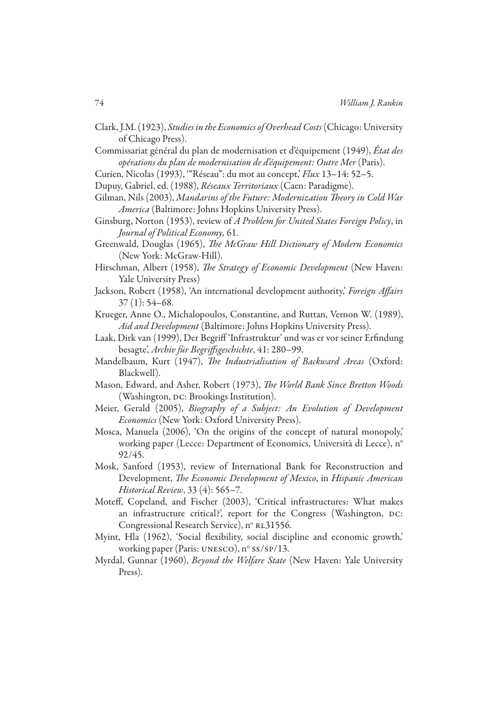- Clark, J.M. (1923), *Studies in the Economics of Overhead Costs* (Chicago: University of Chicago Press).
- Commissariat général du plan de modernisation et d'équipement (1949), *État des opérations du plan de modernisation de d'équipement: Outre Mer* (Paris).
- Curien, Nicolas (1993), '"Réseau": du mot au concept,' *Flux* 13–14: 52–5.
- Dupuy, Gabriel, ed. (1988), *Réseaux Territoriaux* (Caen: Paradigme).
- Gilman, Nils (2003), *Mandarins of the Future: Modernization Theory in Cold War America* (Baltimore: Johns Hopkins University Press).
- Ginsburg, Norton (1953), review of *A Problem for United States Foreign Policy*, in *Journal of Political Economy,* 61.
- Greenwald, Douglas (1965), *The McGraw Hill Dictionary of Modern Economics* (New York: McGraw-Hill).
- Hirschman, Albert (1958), *The Strategy of Economic Development* (New Haven: Yale University Press)
- Jackson, Robert (1958), 'An international development authority,' *Foreign Affairs*  37 (1): 54–68.
- Krueger, Anne O., Michalopoulos, Constantine, and Ruttan, Vernon W. (1989), *Aid and Development* (Baltimore: Johns Hopkins University Press).
- Laak, Dirk van (1999), Der Begriff 'Infrastruktur' und was er vor seiner Erfindung besagte', *Archiv für Begriffsgeschichte*, 41: 280–99.
- Mandelbaum, Kurt (1947), *The industrialisation of backward areas* (Oxford: Blackwell).
- Mason, Edward, and Asher, Robert (1973), *The World Bank Since Bretton Woods*  (Washington, DC: Brookings Institution).
- Meier, Gerald (2005), *Biography of a Subject: An Evolution of Development Economics* (New York: Oxford University Press).
- Mosca, Manuela (2006), 'On the origins of the concept of natural monopoly,' working paper (Lecce: Department of Economics, Università di Lecce), n<sup>o</sup> 92/45.
- Mosk, Sanford (1953), review of International Bank for Reconstruction and Development, *The Economic Development of Mexico*, in *Hispanic American Historical Review*, 33 (4): 565–7.
- Moteff, Copeland, and Fischer (2003), 'Critical infrastructures: What makes an infrastructure critical?', report for the Congress (Washington, DC: Congressional Research Service), nº RL31556.
- Myint, Hla (1962), 'Social flexibility, social discipline and economic growth,' working paper (Paris: UNESCO),  $n^{\circ}$  ss/sp/13.
- Myrdal, Gunnar (1960), *Beyond the Welfare State* (New Haven: Yale University Press).